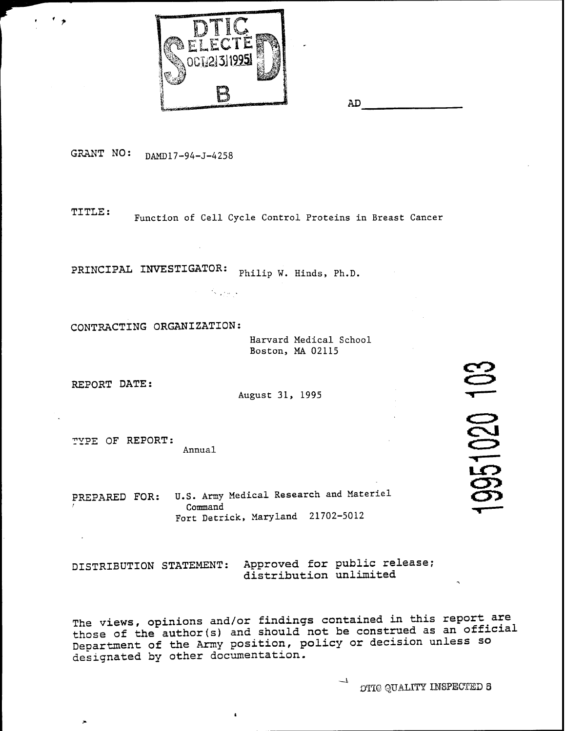

AD

GRANT NO: DAMD17-94-J-4258

TITLE: Function of Cell Cycle Control Proteins in Breast Cancer

**PRINCIPAL INVESTIGATOR:** *Philip W. Hinds, Ph.D.* 

 $\mathcal{O}(\mathcal{O}_\mathcal{A})$  , where  $\mathcal{O}_\mathcal{A}$ 

**CONTRACTING ORGANIZATION:**

Harvard Medical School Boston, MA 02115

**REPORT DATE:**

 $\overline{\phantom{a}}$ 

August 31, 1995

TYPE OF REPORT: Annual

PREPARED **FOR:** U.S. Army Medical Research and Materiel Command Fort Detrick, Maryland 21702-5012

DISTRIBUTION STATEMENT: Approved for public release; distribution unlimited

The views, opinions and/or findings contained in this report are those of the author(s) and should not be construed as an official Department of the Army position, policy or decision unless so designated by other documentation.

OTIG QUALITY INSPECTED 3

951020 103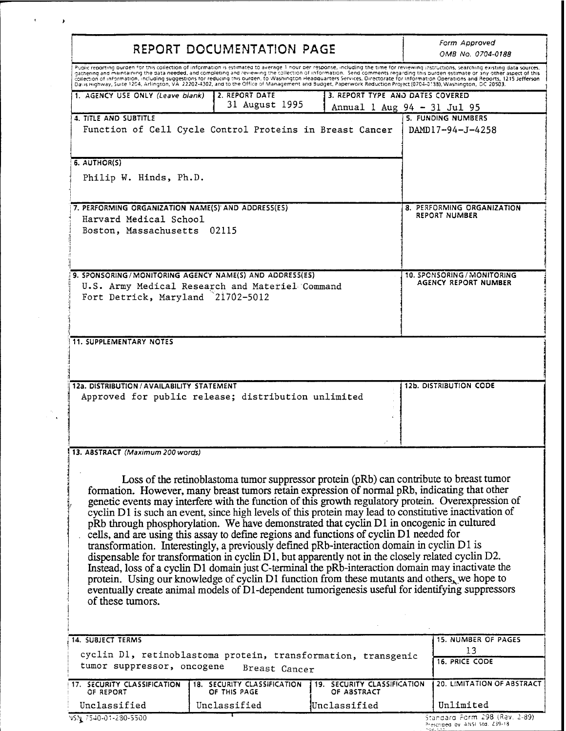| REPORT DOCUMENTATION PAGE                                                            | Form Approved<br>OMB No. 0704-0188                                                                                                                                                                                                                                                                                                                                                                                                                                                                                                                                                                                                                                                                                                                                                                                                                                                                                                                                                                                                                                                                             |                                            |                                                                                                                                                                                                                                                                                                                                                                            |
|--------------------------------------------------------------------------------------|----------------------------------------------------------------------------------------------------------------------------------------------------------------------------------------------------------------------------------------------------------------------------------------------------------------------------------------------------------------------------------------------------------------------------------------------------------------------------------------------------------------------------------------------------------------------------------------------------------------------------------------------------------------------------------------------------------------------------------------------------------------------------------------------------------------------------------------------------------------------------------------------------------------------------------------------------------------------------------------------------------------------------------------------------------------------------------------------------------------|--------------------------------------------|----------------------------------------------------------------------------------------------------------------------------------------------------------------------------------------------------------------------------------------------------------------------------------------------------------------------------------------------------------------------------|
|                                                                                      |                                                                                                                                                                                                                                                                                                                                                                                                                                                                                                                                                                                                                                                                                                                                                                                                                                                                                                                                                                                                                                                                                                                |                                            | Public reporting ourden for this collection of information is estimated to average 1 nour per response, including the time for reviewing instructions, searching existing data sources,<br>gathering and maintaining the data needed, and completing and reviewing the collection of information. Send comments regarding this burden estimate or any other aspect of this |
|                                                                                      | Davis Highway, Suite 1204, Arlington, VA 22202-4302, and to the Office of Management and Budget, Paperwork Reduction Project (0704-0138), Washington, DC 20503.                                                                                                                                                                                                                                                                                                                                                                                                                                                                                                                                                                                                                                                                                                                                                                                                                                                                                                                                                |                                            | collection of information, including suggestions for reducing this burden, to Washington Headquarters Services, Directorate for Information Operations and Reports, 1215 Jefferson                                                                                                                                                                                         |
| 1. AGENCY USE ONLY (Leave blank)                                                     | 2. REPORT DATE                                                                                                                                                                                                                                                                                                                                                                                                                                                                                                                                                                                                                                                                                                                                                                                                                                                                                                                                                                                                                                                                                                 | 3. REPORT TYPE AND DATES COVERED           |                                                                                                                                                                                                                                                                                                                                                                            |
|                                                                                      | 31 August 1995                                                                                                                                                                                                                                                                                                                                                                                                                                                                                                                                                                                                                                                                                                                                                                                                                                                                                                                                                                                                                                                                                                 |                                            | Annual 1 Aug 94 - 31 Jul 95                                                                                                                                                                                                                                                                                                                                                |
| 4. TITLE AND SUBTITLE                                                                | Function of Cell Cycle Control Proteins in Breast Cancer                                                                                                                                                                                                                                                                                                                                                                                                                                                                                                                                                                                                                                                                                                                                                                                                                                                                                                                                                                                                                                                       |                                            | 5. FUNDING NUMBERS<br>DAMD17-94-J-4258                                                                                                                                                                                                                                                                                                                                     |
| 6. AUTHOR(S)                                                                         |                                                                                                                                                                                                                                                                                                                                                                                                                                                                                                                                                                                                                                                                                                                                                                                                                                                                                                                                                                                                                                                                                                                |                                            |                                                                                                                                                                                                                                                                                                                                                                            |
| Philip W. Hinds, Ph.D.                                                               |                                                                                                                                                                                                                                                                                                                                                                                                                                                                                                                                                                                                                                                                                                                                                                                                                                                                                                                                                                                                                                                                                                                |                                            |                                                                                                                                                                                                                                                                                                                                                                            |
| 7. PERFORMING ORGANIZATION NAME(S) AND ADDRESS(ES)                                   |                                                                                                                                                                                                                                                                                                                                                                                                                                                                                                                                                                                                                                                                                                                                                                                                                                                                                                                                                                                                                                                                                                                |                                            | 8. PERFORMING ORGANIZATION                                                                                                                                                                                                                                                                                                                                                 |
| Harvard Medical School                                                               |                                                                                                                                                                                                                                                                                                                                                                                                                                                                                                                                                                                                                                                                                                                                                                                                                                                                                                                                                                                                                                                                                                                |                                            | <b>REPORT NUMBER</b>                                                                                                                                                                                                                                                                                                                                                       |
| Boston, Massachusetts 02115                                                          |                                                                                                                                                                                                                                                                                                                                                                                                                                                                                                                                                                                                                                                                                                                                                                                                                                                                                                                                                                                                                                                                                                                |                                            |                                                                                                                                                                                                                                                                                                                                                                            |
|                                                                                      | 9. SPONSORING/MONITORING AGENCY NAME(S) AND ADDRESS(ES)                                                                                                                                                                                                                                                                                                                                                                                                                                                                                                                                                                                                                                                                                                                                                                                                                                                                                                                                                                                                                                                        |                                            | 10. SPONSORING / MONITORING                                                                                                                                                                                                                                                                                                                                                |
| U.S. Army Medical Research and Materiel Command<br>Fort Detrick, Maryland 21702-5012 | AGENCY REPORT NUMBER                                                                                                                                                                                                                                                                                                                                                                                                                                                                                                                                                                                                                                                                                                                                                                                                                                                                                                                                                                                                                                                                                           |                                            |                                                                                                                                                                                                                                                                                                                                                                            |
| <b>11. SUPPLEMENTARY NOTES</b>                                                       |                                                                                                                                                                                                                                                                                                                                                                                                                                                                                                                                                                                                                                                                                                                                                                                                                                                                                                                                                                                                                                                                                                                |                                            |                                                                                                                                                                                                                                                                                                                                                                            |
|                                                                                      |                                                                                                                                                                                                                                                                                                                                                                                                                                                                                                                                                                                                                                                                                                                                                                                                                                                                                                                                                                                                                                                                                                                |                                            |                                                                                                                                                                                                                                                                                                                                                                            |
| 12a. DISTRIBUTION / AVAILABILITY STATEMENT                                           | Approved for public release; distribution unlimited                                                                                                                                                                                                                                                                                                                                                                                                                                                                                                                                                                                                                                                                                                                                                                                                                                                                                                                                                                                                                                                            |                                            | <b>12b. DISTRIBUTION CODE</b>                                                                                                                                                                                                                                                                                                                                              |
|                                                                                      |                                                                                                                                                                                                                                                                                                                                                                                                                                                                                                                                                                                                                                                                                                                                                                                                                                                                                                                                                                                                                                                                                                                |                                            |                                                                                                                                                                                                                                                                                                                                                                            |
| 13. ABSTRACT (Maximum 200 words)<br>of these tumors.                                 | Loss of the retinoblastoma tumor suppressor protein (pRb) can contribute to breast tumor<br>formation. However, many breast tumors retain expression of normal pRb, indicating that other<br>genetic events may interfere with the function of this growth regulatory protein. Overexpression of<br>cyclin D1 is such an event, since high levels of this protein may lead to constitutive inactivation of<br>pRb through phosphorylation. We have demonstrated that cyclin D1 in oncogenic in cultured<br>cells, and are using this assay to define regions and functions of cyclin D1 needed for<br>transformation. Interestingly, a previously defined pRb-interaction domain in cyclin D1 is<br>dispensable for transformation in cyclin D1, but apparently not in the closely related cyclin D2.<br>Instead, loss of a cyclin D1 domain just C-terminal the pRb-interaction domain may inactivate the<br>protein. Using our knowledge of cyclin D1 function from these mutants and others, we hope to<br>eventually create animal models of D1-dependent tumorigenesis useful for identifying suppressors |                                            |                                                                                                                                                                                                                                                                                                                                                                            |
| <b>14. SUBJECT TERMS</b>                                                             |                                                                                                                                                                                                                                                                                                                                                                                                                                                                                                                                                                                                                                                                                                                                                                                                                                                                                                                                                                                                                                                                                                                |                                            | 15. NUMBER OF PAGES                                                                                                                                                                                                                                                                                                                                                        |
| tumor suppressor, oncogene                                                           | cyclin D1, retinoblastoma protein, transformation, transgenic<br>Breast Cancer                                                                                                                                                                                                                                                                                                                                                                                                                                                                                                                                                                                                                                                                                                                                                                                                                                                                                                                                                                                                                                 |                                            | 13<br><b>16. PRICE CODE</b>                                                                                                                                                                                                                                                                                                                                                |
| 17. SECURITY CLASSIFICATION<br>OF REPORT                                             | 18. SECURITY CLASSIFICATION<br>OF THIS PAGE                                                                                                                                                                                                                                                                                                                                                                                                                                                                                                                                                                                                                                                                                                                                                                                                                                                                                                                                                                                                                                                                    | 19. SECURITY CLASSIFICATION<br>OF ABSTRACT | <b>20. LIMITATION OF ABSTRACT</b>                                                                                                                                                                                                                                                                                                                                          |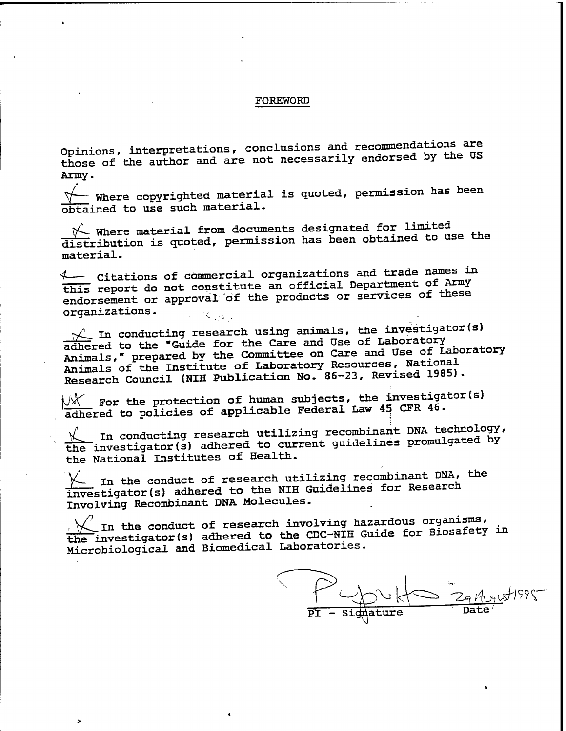#### FOREWORD

Opinions, interpretations, conclusions and recommendations are those of the author and are not necessarily endorsed by the US Army.

*^f—* where copyrighted material is quoted, permission has been obtained to use such material.

 $\mathcal{V}$  Where material from documents designated for limited distribution is quoted, permission has been obtained to use the material.

*<sup>4</sup>* Citations of commercial organizations and trade names in this report do not constitute an official Department of Army endorsement or approval of the products or services of these organizations. **不安 不可可** 

 $\sqrt{}$  In conducting research using animals, the investigator(s) adhered to the "Guide for the Care and Use of Laboratory Animals," prepared by the Committee on Care and Use of Laboratory Animals of the Institute of Laboratory Resources, National Research Council (NIH Publication No. 86-23, Revised 1985).

 ${\mathbb W}^\vee$  for the protection of human subjects, the investigator(s)  $\overline{\text{adhered}}$  to policies of applicable Federal Law 45 CFR 46.

In conducting research utilizing recombinant DNA technology, the investigator(s) adhered to current guidelines promulgated by the National Institutes of Health.

 $\chi$  In the conduct of research utilizing recombinant DNA, the investigator(s) adhered to the NIH Guidelines for Research Involving Recombinant DNA Molecules.

In the conduct of research involving hazardous organisms,  $t$  investigator(s) adhered to the CDC-NIH Guide for Biosafety in Microbiological and Biomedical Laboratories.

**Date**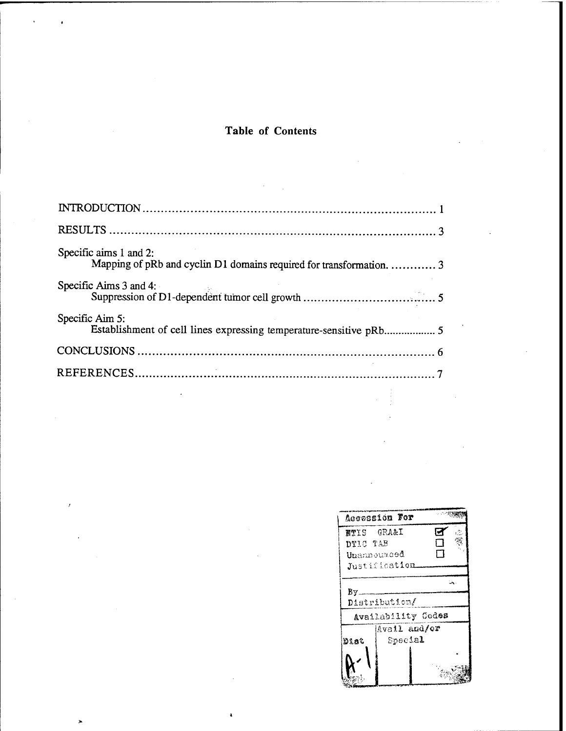# Table of Contents

| Specific aims 1 and 2:<br>Mapping of pRb and cyclin D1 domains required for transformation.  3 |
|------------------------------------------------------------------------------------------------|
| Specific Aims $3$ and $4$ :                                                                    |
| Specific Aim 5:<br>Establishment of cell lines expressing temperature-sensitive pRb 5          |
|                                                                                                |
|                                                                                                |
|                                                                                                |

|            | Acconsion For       |   |  |
|------------|---------------------|---|--|
| NTIS GRA&I |                     | м |  |
| DTIC TAB   |                     | П |  |
|            | ${\tt Unannourced}$ | П |  |
|            | Justification       |   |  |
|            |                     |   |  |
| By_        |                     |   |  |
|            | Distribution/       |   |  |
|            | Availability Codes  |   |  |
|            | Avail and/or        |   |  |
| Dist       | Special             |   |  |
|            |                     |   |  |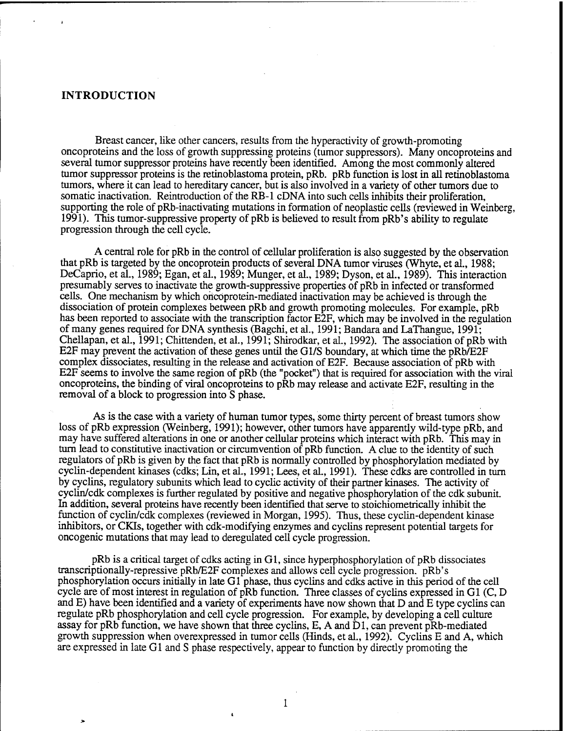#### **INTRODUCTION**

Breast cancer, like other cancers, results from the hyperactivity of growth-promoting oncoproteins and the loss of growth suppressing proteins (tumor suppressors). Many oncoproteins and several tumor suppressor proteins have recently been identified. Among the most commonly altered tumor suppressor proteins is the retinoblastoma protein, pRb. pRb function is lost in all retinoblastoma tumors, where it can lead to hereditary cancer, but is also involved in a variety of other tumors due to somatic inactivation. Reintroduction of the RB-1 cDNA into such cells inhibits their proliferation, supporting the role of pRb-inactivating mutations in formation of neoplastic cells (reviewed in Weinberg, 1991). This tumor-suppressive property of pRb is believed to result from pRb's ability to regulate progression through the cell cycle.

A central role for pRb in the control of cellular proliferation is also suggested by the observation that pRb is targeted by the oncoprotein products of several DNA tumor viruses (Whyte, et al., 1988; DeCaprio, et al., 1989; Egan, et al., 1989; Munger, et al., 1989; Dyson, et al., 1989). This interaction presumably serves to inactivate the growth-suppressive properties of pRb in infected or transformed cells. One mechanism by which oncoprotein-mediated inactivation may be achieved is through the dissociation of protein complexes between pRb and growth promoting molecules. For example, pRb has been reported to associate with the transcription factor E2F, which may be involved in the regulation of many genes required for DNA synthesis (Bagchi, et al., 1991; Bandara and LaThangue, 1991; Chellapan, et al., 1991; Chittenden, et al., 1991; Shirodkar, et al., 1992). The association of pRb with E2F may prevent the activation of these genes until the Gl/S boundary, at which time the pRb/E2F complex dissociates, resulting in the release and activation of E2F. Because association of pRb with E2F seems to involve the same region of pRb (the "pocket") that is required for association with the viral oncoproteins, the binding of viral oncoproteins to pRb may release and activate E2F, resulting in the removal of a block to progression into S phase.

As is the case with a variety of human tumor types, some thirty percent of breast tumors show loss of pRb expression (Weinberg, 1991); however, other tumors have apparently wild-type pRb, and may have suffered alterations in one or another cellular proteins which interact with pRb. This may in turn lead to constitutive inactivation or circumvention of pRb function. A clue to the identity of such regulators of pRb is given by the fact that pRb is normally controlled by phosphorylation mediated by cyclin-dependent kinases (cdks; Lin, et al., 1991; Lees, et al., 1991). These cdks are controlled in turn by cyclins, regulatory subunits which lead to cyclic activity of their partner kinases. The activity of cyclin/cdk complexes is further regulated by positive and negative phosphorylation of the cdk subunit. In addition, several proteins have recently been identified that serve to stoichiometricaUy inhibit the function of cyclin/cdk complexes (reviewed in Morgan, 1995). Thus, these cyclin-dependent kinase inhibitors, or CKIs, together with cdk-modifying enzymes and cyclins represent potential targets for oncogenic mutations that may lead to deregulated cell cycle progression.

pRb is a critical target of cdks acting in Gl, since hyperphosphorylation of pRb dissociates transcriptionally-repressive pRb/E2F complexes and allows cell cycle progression. pRb's phosphorylation occurs initially in late Gl phase, thus cyclins and cdks active in this period of the cell cycle are of most interest in regulation of pRb function. Three classes of cyclins expressed in Gl (C, D and E) have been identified and a variety of experiments have now shown that D and E type cyclins can regulate pRb phosphorylation and cell cycle progression. For example, by developing a cell culture assay for pRb function, we have shown that three cyclins, E, A and Dl, can prevent pRb-mediated growth suppression when overexpressed in tumor cells (Hinds, et al., 1992). Cyclins E and A, which are expressed in late Gl and S phase respectively, appear to function by directly promoting the

 $\mathbf{1}$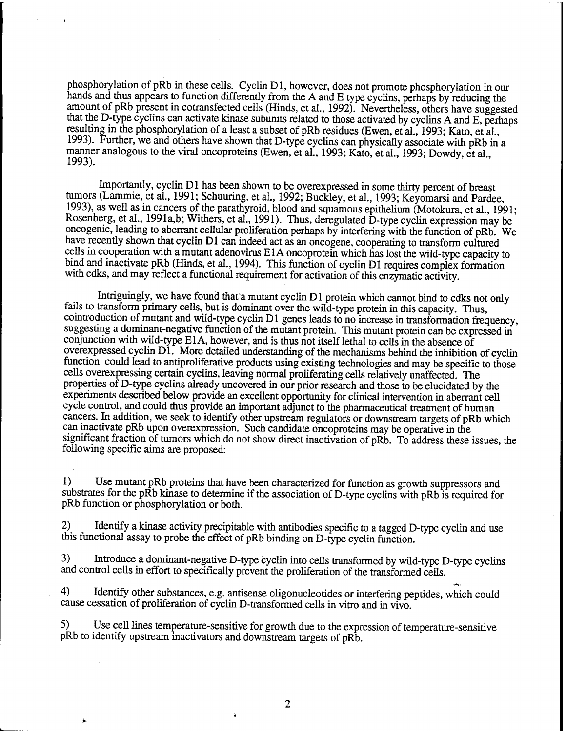phosphorylation of pRb in these cells. Cyclin Dl, however, does not promote phosphorylation in our hands and thus appears to function differently from the A and E type cyclins, perhaps by reducing the amount of pRb present in cotransfected cells (Hinds, et al., 1992). Nevertheless, others have suggested that the D-type cyclins can activate kinase subunits related to those activated by cyclins A and E, perhaps resulting in the phosphorylation of a least a subset of pRb residues (Ewen, et al., 1993; Kato, et al., 1993). Further, we and others have shown that D-type cyclins can physically associate with pRb in a manner analogous to the viral oncoproteins (Ewen, et al., 1993; Kato, et al., 1993; Dowdy, et al., 1993).

Importantly, cyclin Dl has been shown to be overexpressed in some thirty percent of breast tumors (Lammie, et al., 1991; Schuuring, et al., 1992; Buckley, et al., 1993; Keyomarsi and Pardee, 1993), as well as in cancers of the parathyroid, blood and squamous epithelium (Motokura, et al., 1991; Rosenberg, et al., 1991a,b; Withers, et al., 1991). Thus, deregulated D-type cyclin expression may be oncogenic, leading to aberrant cellular proliferation perhaps by interfering with the function of pRb. We have recently shown that cyclin D1 can indeed act as an oncogene, cooperating to transform cultured cells in cooperation with a mutant adenovirus ElA oncoprotein which has lost the wild-type capacity to bind and inactivate pRb (Hinds, et al., 1994). This function of cyclin D1 requires complex formation with cdks, and may reflect a functional requirement for activation of this enzymatic activity.

Intriguingly, we have found that a mutant cyclin D1 protein which cannot bind to cdks not only fails to transform primary cells, but is dominant over the wild-type protein in this capacity. Thus, cointroduction of mutant and wild-type cyclin Dl genes leads to no increase in transformation frequency, suggesting a dominant-negative function of the mutant protein. This mutant protein can be expressed in conjunction with wild-type ElA, however, and is thus not itself lethal to cells in the absence of overexpressed cyclin D1. More detailed understanding of the mechanisms behind the inhibition of cyclin function could lead to antiproliferative products using existing technologies and may be specific to those cells overexpressing certain cyclins, leaving normal proliferating cells relatively unaffected. The properties of D-type cyclins already uncovered in our prior research and those to be elucidated by the experiments described below provide an excellent opportunity for clinical intervention in aberrant cell cycle control, and could thus provide an important adjunct to the pharmaceutical treatment of human cancers. In addition, we seek to identify other upstream regulators or downstream targets of pRb which can inactivate pRb upon overexpression. Such candidate oncoproteins may be operative in the significant fraction of tumors which do not show direct inactivation of pRb. To address these issues, the following specific aims are proposed:

1) Use mutant pRb proteins that have been characterized for function as growth suppressors and substrates for the pRb kinase to determine if the association of D-type cyclins with pRb is required for pRb function or phosphorylation or both.

2) Identify a kinase activity precipitable with antibodies specific to a tagged D-type cyclin and use this functional assay to probe the effect of pRb binding on D-type cyclin function.

3) Introduce a dominant-negative D-type cyclin into cells transformed by wild-type D-type cyclins and control cells in effort to specifically prevent the proliferation of the transformed cells.

4) Identify other substances, e.g. antisense oligonucleotides or interfering peptides, which could cause cessation of proliferation of cyclin D-transformed cells in vitro and in vivo.

5) Use cell lines temperature-sensitive for growth due to the expression of temperature-sensitive pRb to identify upstream inactivators and downstream targets of pRb.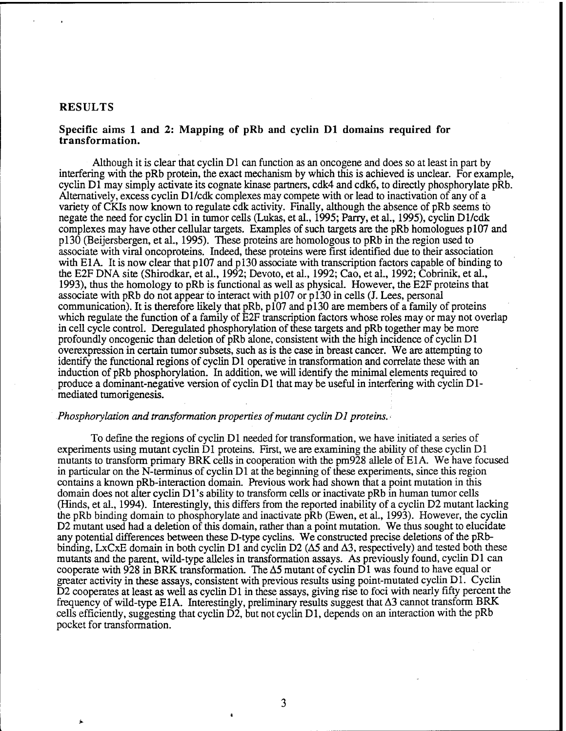### **RESULTS**

#### **Specific aims <sup>1</sup> and 2: Mapping of pRb and cyclin Dl domains required for transformation.**

Although it is clear that cyclin Dl can function as an oncogene and does so at least in part by interfering with the pRb protein, the exact mechanism by which this is achieved is unclear. For example, cyclin Dl may simply activate its cognate kinase partners, cdk4 and cdk6, to directly phosphorylate pRb. Alternatively, excess cyclin Dl/cdk complexes may compete with or lead to inactivation of any of a variety of CKIs now known to regulate cdk activity. Finally, although the absence of pRb seems to negate the need for cyclin Dl in tumor cells (Lukas, et al., 1995; Parry, et al., 1995), cyclin Dl/cdk complexes may have other cellular targets. Examples of such targets are the pRb homologues  $p107$  and pl30 (Beijersbergen, et al., 1995). These proteins are homologous to pRb in the region used to associate with viral oncoproteins. Indeed, these proteins were first identified due to their association with E1A. It is now clear that p107 and p130 associate with transcription factors capable of binding to the E2F DNA site (Shirodkar, et al., 1992; Devoto, et al., 1992; Cao, et al., 1992; Cobrinik, et al., 1993), thus the homology to pRb is functional as well as physical. However, the E2F proteins that associate with pRb do not appear to interact with pl07 or pi30 in cells (J. Lees, personal communication). It is therefore likely that pRb,  $p\overline{107}$  and  $p130$  are members of a family of proteins which regulate the function of a family of E2F transcription factors whose roles may or may not overlap in cell cycle control. Deregulated phosphorylation of these targets and pRb together may be more profoundly oncogenic than deletion of pRb alone, consistent with the high incidence of cyclin D1 overexpression in certain tumor subsets, such as is the case in breast cancer. We are attempting to identify the functional regions of cyclin Dl operative in transformation and correlate these with an induction of pRb phosphorylation. In addition, we will identify the minimal elements required to produce a dominant-negative version of cyclin Dl that may be useful in interfering with cyclin Dlmediated tumorigenesis.

### *Phosphorylation and transformation properties of mutant cyclin D1 proteins.*

To define the regions of cyclin Dl needed for transformation, we have initiated a series of experiments using mutant cyclin Dl proteins. First, we are examining the ability of these cyclin Dl mutants to transform primary BRK cells in cooperation with the pm928 allele of ElA. We have focused in particular on the N-terminus of cyclin Dl at the beginning of these experiments, since this region contains a known pRb-interaction domain. Previous work had shown that a point mutation in this domain does not alter cyclin D1's ability to transform cells or inactivate pRb in human tumor cells (Hinds, et al., 1994). Interestingly, this differs from the reported inability of a cyclin D2 mutant lacking the pRb binding domain to phosphorylate and inactivate pRb (Ewen, et al., 1993). However, the cyclin D2 mutant used had a deletion of this domain, rather than a point mutation. We thus sought to elucidate any potential differences between these D-type cyclins. We constructed precise deletions of the pRbbinding, LxCxE domain in both cyclin D1 and cyclin D2 ( $\Delta$ 5 and  $\Delta$ 3, respectively) and tested both these mutants and the parent, wild-type alleles in transformation assays. As previously found, cyclin Dl can cooperate with 928 in BRK transformation. The  $\Delta$ 5 mutant of cyclin D1 was found to have equal or greater activity in these assays, consistent with previous results using point-mutated cyclin Dl. Cyclin D2 cooperates at least as well as cyclin Dl in these assays, giving rise to foci with nearly fifty percent the frequency of wild-type E1A. Interestingly, preliminary results suggest that  $\Delta 3$  cannot transform BRK cells efficiently, suggesting that cyclin  $\overrightarrow{D2}$ , but not cyclin D1, depends on an interaction with the pRb pocket for transformation.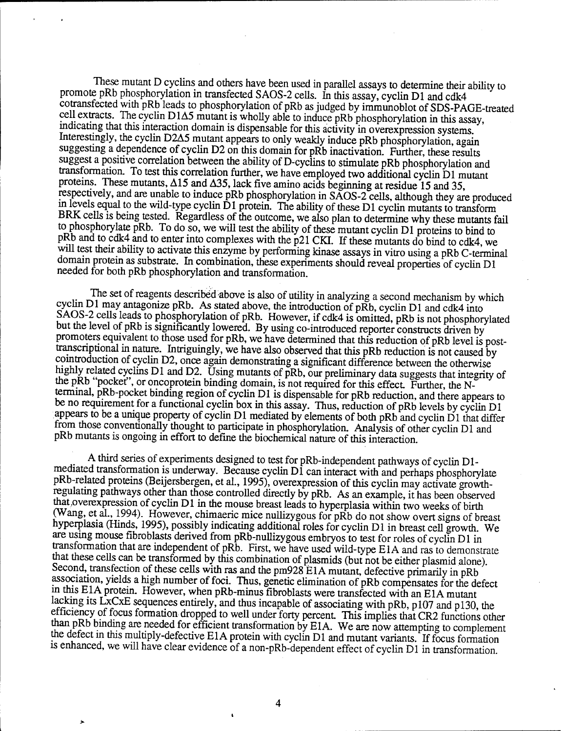These mutant D cyclins and others have been used in parallel assays to determine their ability to promote pRb phosphorylation in transfected SAOS-2 cells. In this assay, cyclin D1 and cdk4 cotransfected with pRb leads to phosphorylation of pRb as judged by immunoblot of SDS-PAGE-treated cell extracts. The cyclin D1A5 mutant is wholly able to induce pRb phosphorylation in this assay, indicating that this interaction domain is dispensable for this activity in overexpression systems Interestingly, the cyclin D2A5 mutant appears to only weakly induce pRb phosphorylation, again suggesting a dependence of cyclin D2 on this domain for pRb inactivation. Further, these results suggest a positive correlation between the ability of D-cyclins to stimulate pRb phosphorylation and transformation. To test this correlation further, we have employed two additional cyclin Dl mutant proteins. These mutants,  $\Delta$ 15 and  $\Delta$ 35, lack five amino acids beginning at residue 15 and 35, respectively, and are unable to induce pRb phosphorylation in SAOS-2 cells, although they are produced m levels equal to the wild-type cyclin Dl protein. The ability of these Dl cyclin mutants to transform BRK cells is being tested. Regardless of the outcome, we also plan to determine why these mutants fail to phosphorylate pRb. To do so, we will test the ability of these mutant cyclin Dl proteins to bind to pRb and to cdk4 and to enter into complexes with the p21 CKI. If these mutants do bind to cdk4, we will test their ability to activate this enzyme by performing kinase assays in vitro using a pRb C-terminal domain protein as substrate. In combination, these experiments should reveal properties of cyclin Dl needed for both pRb phosphorylation and transformation.

The set of reagents described above is also of utility in analyzing a second mechanism by which cyclin Dl may antagonize pRb. As stated above, the introduction of pRb, cyclin Dl and cdk4 into SAOS-2 cells leads to phosphorylation of pRb. However, if cdk4 is omitted, pRb is not phosphorylated but the level of pRb is significantly lowered. By using co-introduced reporter constructs driven by promoters equivalent to those used for pRb, we have determined that this reduction of pRb level is posttranscriptional in nature. Intriguingly, we have also observed that this pRb reduction is not caused by cointroduction of cyclin D2, once again demonstrating a significant difference between the otherwise highly related cyclins D1 and D2. Using mutants of pRb, our preliminary data suggests that integrity of the pRb "pocket", or oncoprotein binding domain, is not required for this effect. Further, the Nterminal, pRb-pocket binding region of cyclin Dl is dispensable for pRb reduction, and there appears to be no requirement for a functional cyclin box in this assay. Thus, reduction of pRb levels by cyclin Dl appears to be a unique property of cyclin D1 mediated by elements of both pRb and cyclin D1 that differ from those conventionally thought to participate in phosphorylation. Analysis of other cyclin D1 and pRb mutants is ongoing in effort to define the biochemical nature of this interaction.

A third series of experiments designed to test for pRb-independent pathways of cyclin D1 mediated transformation is underway. Because cyclin D1 can interact with and perhaps phosphorylate pRb-related proteins (Beijersbergen, et al., 1995), overexpression of this cyclin may activate growthregulating pathways other than those controlled directly by pRb. As an example, it has been observed that .overexpression of cyclin Dl in the mouse breast leads to hyperplasia within two weeks of birth (Wang, et al., 1994). However, chimaeric mice nullizygous for pRb do not show overt signs of breast hyperplasia (Hinds, 1995), possibly indicating additional roles for cyclin Dl in breast cell growth. We are using mouse fibroblasts derived from pRb-nullizygous embryos to test for roles of cyclin Dl in transformation that are independent of pRb. First, we have used wild-type ElA and ras to demonstrate that these cells can be transformed by this combination of plasmids (but not be either plasmid alone) Second, transfection of these cells with ras and the pm928 E1A mutant, defective primarily in pRb association, yields a high number of foci. Thus, genetic elimination of pRb compensates for the defect in this E1A protein. However, when pRb-minus fibroblasts were transfected with an E1A mutant lacking its LxCxE sequences entirely, and thus incapable of associating with pRb, pl07 and pl30, the efficiency of focus formation dropped to well under forty percent. This implies that CR2 functions other than pRb binding are needed for efficient transformation by E1A. We are now attempting to complement the defect in this multiply-defective ElA protein with cyclin Dl and mutant variants. If focus formation is enhanced, we will have clear evidence of a non-pRb-dependent effect of cyclin D1 in transformation.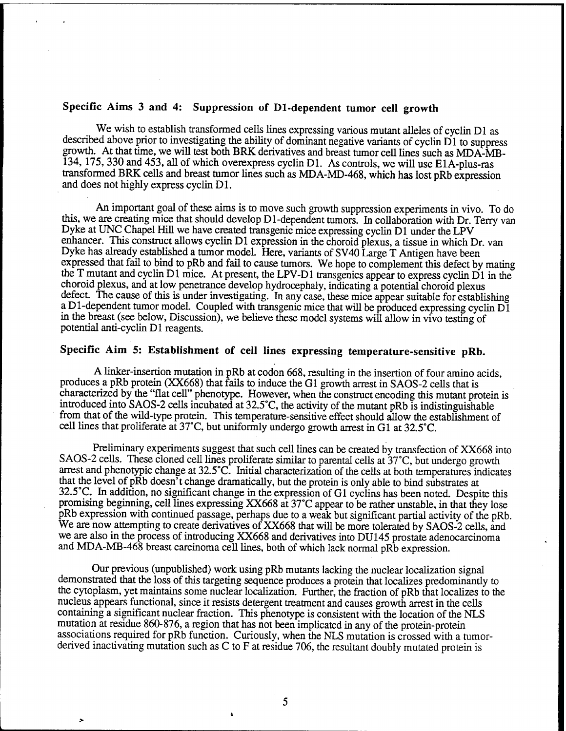## **Specific Aims 3 and 4: Suppression of Dl-dependent tumor cell growth**

We wish to establish transformed cells lines expressing various mutant alleles of cyclin D1 as described above prior to investigating the ability of dominant negative variants of cyclin D1 to suppress growth. At that time, we will test both BRK derivatives and breast tumor cell lines such as MDA-MB-134, 175, 330 and 453, all of which overexpress cyclin Dl. As controls, we will use ElA-plus-ras transformed BRK cells and breast tumor lines such as MDA-MD-468, which has lost pRb expression and does not highly express cyclin D1.

An important goal of these aims is to move such growth suppression experiments in vivo. To do this, we are creating mice that should develop Dl-dependent tumors. In collaboration with Dr. Terry van Dyke at UNC Chapel Hill we have created transgenic mice expressing cyclin Dl under the LPV enhancer. This construct allows cyclin Dl expression in the choroid plexus, a tissue in which Dr. van Dyke has already established a tumor model. Here, variants of SV40 Large T Antigen have been expressed that fail to bind to pRb and fail to cause tumors. We hope to complement this defect by mating the T mutant and cyclin Dl mice. At present, the LPV-D1 transgenics appear to express cyclin Dl in the choroid plexus, and at low penetrance develop hydrocephaly, indicating a potential choroid plexus defect. The cause of this is under investigating. In any case, these mice appear suitable for establishing a Dl-dependent tumor model. Coupled with transgenic mice that will be produced expressing cyclin Dl in the breast (see below, Discussion), we believe these model systems will allow in vivo testing of potential anti-cyclin Dl reagents.

## **Specific Aim 5: Establishment of cell lines expressing temperature-sensitive pRb.**

A linker-insertion mutation in pRb at codon 668, resulting in the insertion of four amino acids, produces a pRb protein (XX668) that fails to induce the Gl growth arrest in SAOS-2 cells that is characterized by the "flat cell" phenotype. However, when the construct encoding this mutant protein is introduced into SAOS-2 cells incubated at 32.5°C, the activity of the mutant pRb is indistinguishable from that of the wild-type protein. This temperature-sensitive effect should allow the establishment of cell lines that proliferate at 37°C, but uniformly undergo growth arrest in Gl at 32.5°C.

Preliminary experiments suggest that such cell lines can be created by transfection of XX668 into SAOS-2 cells. These cloned cell lines proliferate similar to parental cells at 37°C, but undergo growth arrest and phenotypic change at 32.5°C. Initial characterization of the cells at both temperatures indicates that the level of pRb doesn't change dramatically, but the protein is only able to bind substrates at 32.5°C. In addition, no significant change in the expression of Gl cyclins has been noted. Despite this promising beginning, cell lines expressing XX668 at 37°C appear to be rather unstable, in that they lose pRb expression with continued passage, perhaps due to a weak but significant partial activity of the pRb. We are now attempting to create derivatives of XX668 that will be more tolerated by SAOS-2 cells, and we are also in the process of introducing XX668 and derivatives into DU145 prostate adenocarcinoma and MDA-MB-468 breast carcinoma cell lines, both of which lack normal pRb expression.

Our previous (unpublished) work using pRb mutants lacking the nuclear localization signal demonstrated that the loss of this targeting sequence produces a protein that localizes predominantly to the cytoplasm, yet maintains some nuclear localization. Further, the fraction of pRb that localizes to the nucleus appears functional, since it resists detergent treatment and causes growth arrest in the cells containing a significant nuclear fraction. This phenotype is consistent with the location of the NLS mutation at residue 860-876, a region that has not been implicated in any of the protein-protein associations required for pRb function. Curiously, when the NLS mutation is crossed with a tumorderived inactivating mutation such as C to F at residue 706, the resultant doubly mutated protein is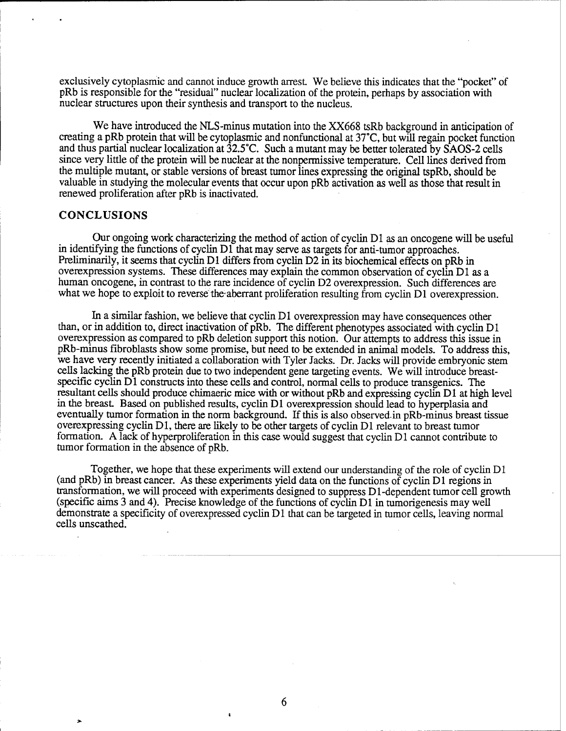exclusively cytoplasmic and cannot induce growth arrest. We believe this indicates that the "pocket" of pRb is responsible for the "residual" nuclear localization of the protein, perhaps by association with nuclear structures upon their synthesis and transport to the nucleus.

We have introduced the NLS-minus mutation into the XX668 tsRb background in anticipation of creating a pRb protein that will be cytoplasmic and nonfunctional at 37°C, but will regain pocket function and thus partial nuclear localization at 32.5°C. Such a mutant may be better tolerated by SAOS-2 cells since very little of the protein will be nuclear at the nonpermissive temperature. Cell lines derived from the multiple mutant, or stable versions of breast tumor lines expressing the original tspRb, should be valuable in studying the molecular events that occur upon pRb activation as well as those that result in renewed proliferation after pRb is inactivated.

#### **CONCLUSIONS**

Our ongoing work characterizing the method of action of cyclin Dl as an oncogene will be useful in identifying the functions of cyclin Dl that may serve as targets for anti-tumor approaches. Preliminarily, it seems that cyclin D1 differs from cyclin D2 in its biochemical effects on pRb in overexpression systems. These differences may explain the common observation of cyclin Dl as a human oncogene, in contrast to the rare incidence of cyclin D2 overexpression. Such differences are what we hope to exploit to reverse the aberrant proliferation resulting from cyclin D1 overexpression.

In a similar fashion, we believe that cyclin Dl overexpression may have consequences other than, or in addition to, direct inactivation of pRb. The different phenotypes associated with cyclin Dl overexpression as compared to pRb deletion support this notion. Our attempts to address this issue in pRb-minus fibroblasts show some promise, but need to be extended in animal models. To address this, we have very recently initiated a collaboration with Tyler Jacks. Dr. Jacks will provide embryonic stem cells lacking the pRb protein due to two independent gene targeting events. We will introduce breastspecific cyclin Dl constructs into these cells and control, normal cells to produce transgenics. The resultant cells should produce chimaeric mice with or without pRb and expressing cycün Dl at high level in the breast. Based on published results, cyclin D1 overexpression should lead to hyperplasia and eventually tumor formation in the norm background. If this is also observed in pRb-minus breast tissue overexpressing cyclin Dl, there are likely to be other targets of cyclin Dl relevant to breast tumor formation. A lack of hyperproliferation in this case would suggest that cyclin Dl cannot contribute to tumor formation in the absence of pRb.

Together, we hope that these experiments will extend our understanding of the role of cyclin Dl (and pRb) in breast cancer. As these experiments yield data on the functions of cyclin Dl regions in transformation, we will proceed with experiments designed to suppress Dl-dependent tumor cell growth (specific aims 3 and 4). Precise knowledge of the functions of cyclin Dl in tumorigenesis may well demonstrate a specificity of overexpressed cyclin Dl that can be targeted in tumor cells, leaving normal cells unscathed.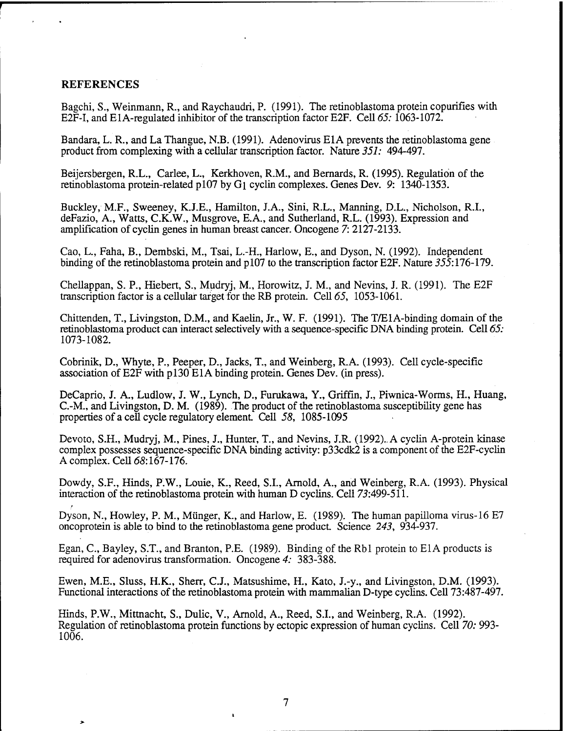#### REFERENCES

Bagchi, S., Weinmann, R., and Raychaudri, P. (1991). The retinoblastoma protein copurifies with E2F-I, and ElA-regulated inhibitor of the transcription factor E2F. Cell *65:*1063-1072.

Bandara, L. R., and La Thangue, N.B. (1991). Adenovirus E1A prevents the retinoblastoma gene product from complexing with a cellular transcription factor. Nature *351:* 494-497.

Beijersbergen, R.L., Carlee, L., Kerkhoven, R.M., and Bernards, R. (1995). Regulation of the retinoblastoma protein-related pl07 by Gi cyclin complexes. Genes Dev. 9: 1340-1353.

Buckley, M.F., Sweeney, K.J.E., Hamilton, J.A., Sini, R.L., Manning, D.L., Nicholson, R.I., deFazio, A., Watts, C.K.W., Musgrove, E.A., and Sutherland, R.L. (1993). Expression and amplification of cyclin genes in human breast cancer. Oncogene 7: 2127-2133.

Cao, L., Faha, B., Dembski, M., Tsai, L.-H., Harlow, E., and Dyson, N. (1992). Independent binding of the retinoblastoma protein and p107 to the transcription factor E2F. Nature 355:176-179.

Chellappan, S. P., Hiebert, S., Mudryj, M., Horowitz, J. M., and Nevins, J. R. (1991). The E2F transcription factor is a cellular target for the RB protein. Cell *65,* 1053-1061.

Chittenden, T., Livingston, D.M., and Kaelin, Jr., W. F. (1991). The T/ElA-binding domain of the retinoblastoma product can interact selectively with a sequence-specific DNA binding protein. Cell *65:* 1073-1082.

Cobrinik, D., Whyte, P., Peeper, D., Jacks, T, and Weinberg, R.A. (1993). Cell cycle-specific association of  $E2\dot{F}$  with p130 E1A binding protein. Genes Dev. (in press).

DeCaprio, J. A., Ludlow, J. W., Lynch, D., Furukawa, Y., Griffin, J., Piwnica-Worms, H., Huang, C.-M., and Livingston, D. M. (1989). The product of the retinoblastoma susceptibility gene has properties of a cell cycle regulatory element Cell *58,* 1085-1095

Devoto, S.H., Mudryj, M., Pines, J., Hunter, T., and Nevins, J.R. (1992).. A cyclin A-protein kinase complex possesses sequence-specific DNA binding activity: p33cdk2 is a component of die E2F-cyclin A complex. Cell *68:161-176.*

Dowdy, S.F., Hinds, P.W., Louie, K., Reed, S.I., Arnold, A., and Weinberg, R.A. (1993). Physical interaction of the retinoblastoma protein with human D cyclins. Cell 73:499-511.

Dyson, N., Howley, P. M., Miinger, K., and Harlow, E. (1989). The human papilloma virus-16 E7 oncoprotein is able to bind to the retinoblastoma gene product Science *243,* 934-937.

Egan, C, Bayley, S.T., and Branton, P.E. (1989). Binding of the Rbl protein to E1A products is required for adenovirus transformation. Oncogene *4:* 383-388.

Ewen, M.E., Sluss, H.K., Sherr, C.J., Matsushime, H., Kato, J.-y., and Livingston, D.M. (1993). Functional interactions of the retinoblastoma protein with mammalian D-type cyclins. Cell 73:487-497.

Hinds, P.W., Mittnacht, S., Dulic, V., Arnold, A., Reed, S.I., and Weinberg, R.A. (1992). Regulation of retinoblastoma protein functions by ectopic expression of human cyclins. Cell *70:* 993- 1006.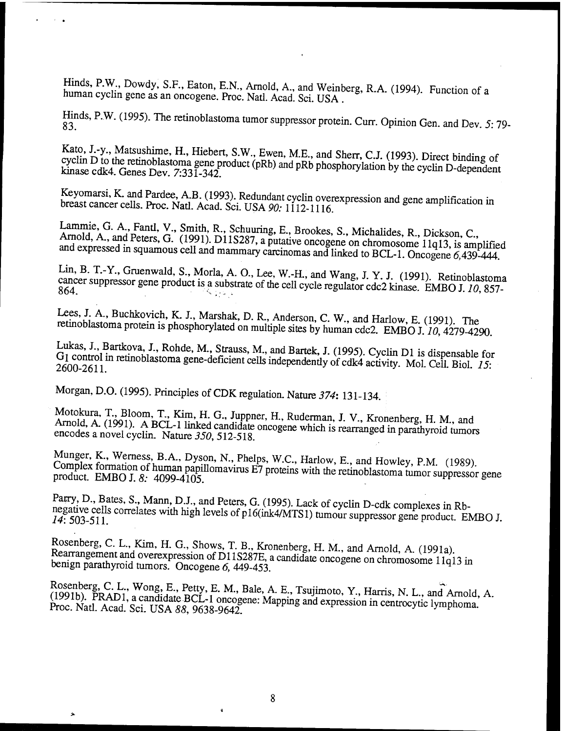Hinds, P.W., Dowdy, S.F., Eaton, E.N., Arnold, A., and Weinberg, R.A. (1994). Function of a human cyclin gene as an oncogene. Proc. Natl. Acad. Sci. USA.

Hinds, P.W. (1995). The retinoblastoma tumor suppressor protein. Curr. Opinion Gen. and Dev. 5: 79-

Kato, J.-y., Matsushime, H., Hiebert, S.W., Ewen, M.E., and Sherr, C.J. (1993). Direct binding of cyclin D to the retinoblastoma gene product (pRb) and pRb phosphorylation by the cyclin D-dependent kinase cdk4. Genes Dev. 7:331-342.

Keyomarsi, K. and Pardee, A.B. (1993). Redundant cyclin overexpression and gene amplification in breast cancer cells. Proc. Natl. Acad. Sci. USA 90: 1112-1116.

Lammie, G. A., Fantl, V., Smith, R., Schuuring, E., Brookes, S., Michalides, R., Dickson, C., Arnold, A., and Peters, G. (1991). D11S287, a putative oncogene on chromosome 11q13, is amplified and expressed in squamous cell and mammary carcinomas and linked to BCL-1. Oncogene 6,439-444.

Lin, B. T.-Y., Gruenwald, S., Morla, A. O., Lee, W.-H., and Wang, J. Y. J. (1991). Retinoblastoma cancer suppressor gene product is a substrate of the cell cycle regulator cdc2 kinase. EMBO J. 10, 857-864.  $\mathcal{S} \subset \mathcal{S} \subset \mathcal{S}$ 

Lees, J. A., Buchkovich, K. J., Marshak, D. R., Anderson, C. W., and Harlow, E. (1991). The retinoblastoma protein is phosphorylated on multiple sites by human cdc2. EMBO J. 10, 4279-4290.

Lukas, J., Bartkova, J., Rohde, M., Strauss, M., and Bartek, J. (1995). Cyclin D1 is dispensable for G1 control in retinoblastoma gene-deficient cells independently of cdk4 activity. Mol. Cell. Biol. 15: 2600-2611.

Morgan, D.O. (1995). Principles of CDK regulation. Nature 374: 131-134.

Motokura, T., Bloom, T., Kim, H. G., Juppner, H., Ruderman, J. V., Kronenberg, H. M., and Arnold, A. (1991). A BCL-1 linked candidate oncogene which is rearranged in parathyroid tumors encodes a novel cyclin. Nature 350, 512-518.

Munger, K., Werness, B.A., Dyson, N., Phelps, W.C., Harlow, E., and Howley, P.M. (1989). Complex formation of human papillomavirus E7 proteins with the retinoblastoma tumor suppressor gene product. EMBO J. 8: 4099-4105.

Parry, D., Bates, S., Mann, D.J., and Peters, G. (1995). Lack of cyclin D-cdk complexes in Rbnegative cells correlates with high levels of p16(ink4/MTS1) tumour suppressor gene product. EMBO J. 14: 503-511.

Rosenberg, C. L., Kim, H. G., Shows, T. B., Kronenberg, H. M., and Arnold, A. (1991a). Rearrangement and overexpression of D11S287E, a candidate oncogene on chromosome 11q13 in benign parathyroid tumors. Oncogene 6, 449-453.

Rosenberg, C. L., Wong, E., Petty, E. M., Bale, A. E., Tsujimoto, Y., Harris, N. L., and Arnold, A. (1991b). PRAD1, a candidate BCL-1 oncogene: Mapping and expression in centrocytic lymphoma. Proc. Natl. Acad. Sci. USA 88, 9638-9642.

 $\ddot{\bullet}$